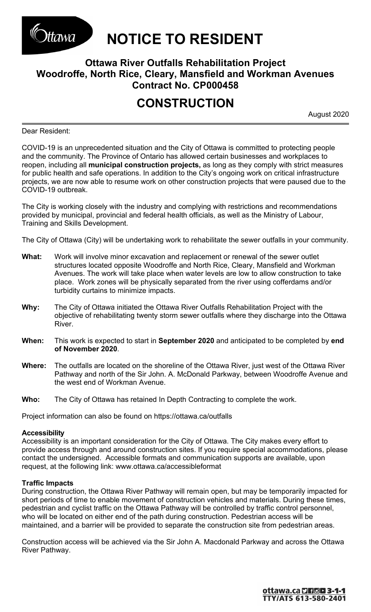

*UTERET TO RESIDENT* 

## **Ottawa River Outfalls Rehabilitation Project Woodroffe, North Rice, Cleary, Mansfield and Workman Avenues Contract No. CP000458**

# **CONSTRUCTION**

August 2020

Dear Resident:

COVID-19 is an unprecedented situation and the City of Ottawa is committed to protecting people and the community. The Province of Ontario has allowed certain businesses and workplaces to reopen, including all **municipal construction projects,** as long as they comply with strict measures for public health and safe operations. In addition to the City's ongoing work on critical infrastructure projects, we are now able to resume work on other construction projects that were paused due to the COVID-19 outbreak.

The City is working closely with the industry and complying with restrictions and recommendations provided by municipal, provincial and federal health officials, as well as the Ministry of Labour, Training and Skills Development.

The City of Ottawa (City) will be undertaking work to rehabilitate the sewer outfalls in your community.

- **What:** Work will involve minor excavation and replacement or renewal of the sewer outlet structures located opposite Woodroffe and North Rice, Cleary, Mansfield and Workman Avenues. The work will take place when water levels are low to allow construction to take place. Work zones will be physically separated from the river using cofferdams and/or turbidity curtains to minimize impacts.
- **Why:** The City of Ottawa initiated the Ottawa River Outfalls Rehabilitation Project with the objective of rehabilitating twenty storm sewer outfalls where they discharge into the Ottawa River.
- **When:** This work is expected to start in **September 2020** and anticipated to be completed by **end of November 2020**.
- **Where:** The outfalls are located on the shoreline of the Ottawa River, just west of the Ottawa River Pathway and north of the Sir John. A. McDonald Parkway, between Woodroffe Avenue and the west end of Workman Avenue.
- **Who:** The City of Ottawa has retained In Depth Contracting to complete the work.

Project information can also be found on <https://ottawa.ca/outfalls>

### **Accessibility**

Accessibility is an important consideration for the City of Ottawa. The City makes every effort to provide access through and around construction sites. If you require special accommodations, please contact the undersigned. Accessible formats and communication supports are available, upon request, at the following link: [www.ottawa.ca/accessibleformat](http://www.ottawa.ca/accessibleformat)

#### **Traffic Impacts**

During construction, the Ottawa River Pathway will remain open, but may be temporarily impacted for short periods of time to enable movement of construction vehicles and materials. During these times, pedestrian and cyclist traffic on the Ottawa Pathway will be controlled by traffic control personnel, who will be located on either end of the path during construction. Pedestrian access will be maintained, and a barrier will be provided to separate the construction site from pedestrian areas.

Construction access will be achieved via the Sir John A. Macdonald Parkway and across the Ottawa River Pathway.